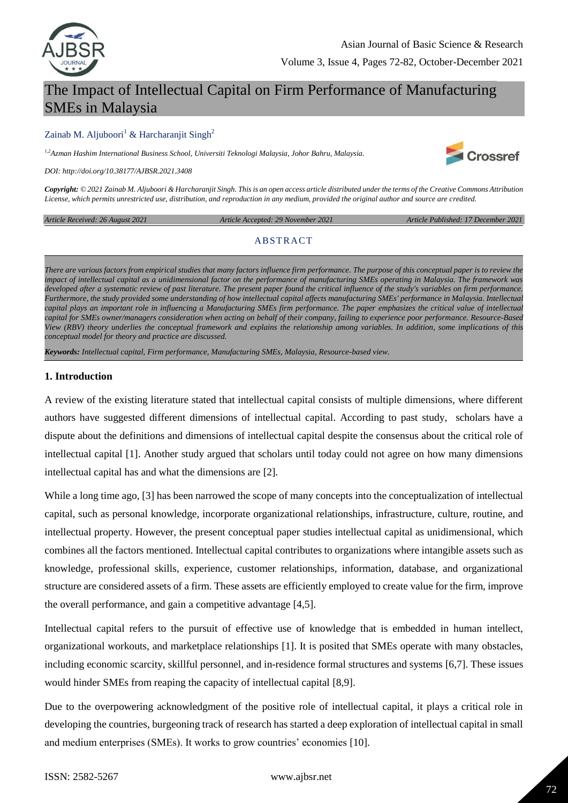

# The Impact of Intellectual Capital on Firm Performance of Manufacturing SMEs in Malaysia

#### Zainab M. Aljuboori<sup>1</sup> & Harcharanjit Singh<sup>2</sup>

*1,2Azman Hashim International Business School, Universiti Teknologi Malaysia, Johor Bahru, Malaysia.*

*DOI: http://doi.org/10.38177/AJBSR.2021.3408*

*Copyright: © 2021 Zainab M. Aljuboori & Harcharanjit Singh. This is an open access article distributed under the terms of the Creative Commons Attribution License, which permits unrestricted use, distribution, and reproduction in any medium, provided the original author and source are credited.* 

*Article Received: 26 August 2021 Article Accepted: 29 November 2021 Article Published: 17 December 2021*

#### **ABSTRACT**

*There are various factors from empirical studies that many factors influence firm performance. The purpose of this conceptual paper is to review the impact of intellectual capital as a unidimensional factor on the performance of manufacturing SMEs operating in Malaysia. The framework was developed after a systematic review of past literature. The present paper found the critical influence of the study's variables on firm performance. Furthermore, the study provided some understanding of how intellectual capital affects manufacturing SMEs' performance in Malaysia. Intellectual capital plays an important role in influencing a Manufacturing SMEs firm performance. The paper emphasizes the critical value of intellectual capital for SMEs owner/managers consideration when acting on behalf of their company, failing to experience poor performance. Resource-Based View (RBV) theory underlies the conceptual framework and explains the relationship among variables. In addition, some implications of this conceptual model for theory and practice are discussed.*

*Keywords: Intellectual capital, Firm performance, Manufacturing SMEs, Malaysia, Resource-based view.*

#### **1. Introduction**

A review of the existing literature stated that intellectual capital consists of multiple dimensions, where different authors have suggested different dimensions of intellectual capital. According to past study, scholars have a dispute about the definitions and dimensions of intellectual capital despite the consensus about the critical role of intellectual capital [1]. Another study argued that scholars until today could not agree on how many dimensions intellectual capital has and what the dimensions are [2].

While a long time ago, [3] has been narrowed the scope of many concepts into the conceptualization of intellectual capital, such as personal knowledge, incorporate organizational relationships, infrastructure, culture, routine, and intellectual property. However, the present conceptual paper studies intellectual capital as unidimensional, which combines all the factors mentioned. Intellectual capital contributes to organizations where intangible assets such as knowledge, professional skills, experience, customer relationships, information, database, and organizational structure are considered assets of a firm. These assets are efficiently employed to create value for the firm, improve the overall performance, and gain a competitive advantage [4,5].

Intellectual capital refers to the pursuit of effective use of knowledge that is embedded in human intellect, organizational workouts, and marketplace relationships [1]. It is posited that SMEs operate with many obstacles, including economic scarcity, skillful personnel, and in-residence formal structures and systems [6,7]. These issues would hinder SMEs from reaping the capacity of intellectual capital [8,9].

Due to the overpowering acknowledgment of the positive role of intellectual capital, it plays a critical role in developing the countries, burgeoning track of research has started a deep exploration of intellectual capital in small and medium enterprises (SMEs). It works to grow countries' economies [10].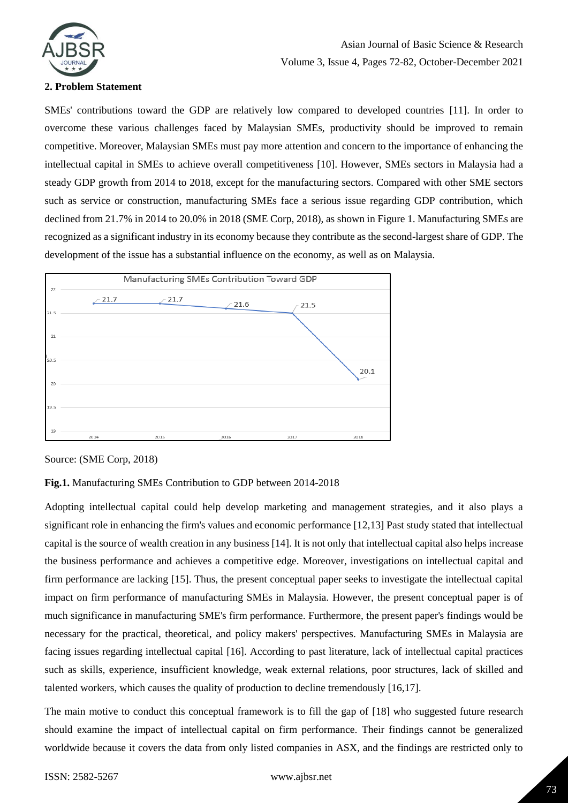

### **2. Problem Statement**

SMEs' contributions toward the GDP are relatively low compared to developed countries [11]. In order to overcome these various challenges faced by Malaysian SMEs, productivity should be improved to remain competitive. Moreover, Malaysian SMEs must pay more attention and concern to the importance of enhancing the intellectual capital in SMEs to achieve overall competitiveness [10]. However, SMEs sectors in Malaysia had a steady GDP growth from 2014 to 2018, except for the manufacturing sectors. Compared with other SME sectors such as service or construction, manufacturing SMEs face a serious issue regarding GDP contribution, which declined from 21.7% in 2014 to 20.0% in 2018 (SME Corp, 2018), as shown in Figure 1. Manufacturing SMEs are recognized as a significant industry in its economy because they contribute as the second-largest share of GDP. The development of the issue has a substantial influence on the economy, as well as on Malaysia.



Source: (SME Corp, 2018)

### **Fig.1.** Manufacturing SMEs Contribution to GDP between 2014-2018

Adopting intellectual capital could help develop marketing and management strategies, and it also plays a significant role in enhancing the firm's values and economic performance [12,13] Past study stated that intellectual capital is the source of wealth creation in any business [14]. It is not only that intellectual capital also helps increase the business performance and achieves a competitive edge. Moreover, investigations on intellectual capital and firm performance are lacking [15]. Thus, the present conceptual paper seeks to investigate the intellectual capital impact on firm performance of manufacturing SMEs in Malaysia. However, the present conceptual paper is of much significance in manufacturing SME's firm performance. Furthermore, the present paper's findings would be necessary for the practical, theoretical, and policy makers' perspectives. Manufacturing SMEs in Malaysia are facing issues regarding intellectual capital [16]. According to past literature, lack of intellectual capital practices such as skills, experience, insufficient knowledge, weak external relations, poor structures, lack of skilled and talented workers, which causes the quality of production to decline tremendously [16,17].

The main motive to conduct this conceptual framework is to fill the gap of [18] who suggested future research should examine the impact of intellectual capital on firm performance. Their findings cannot be generalized worldwide because it covers the data from only listed companies in ASX, and the findings are restricted only to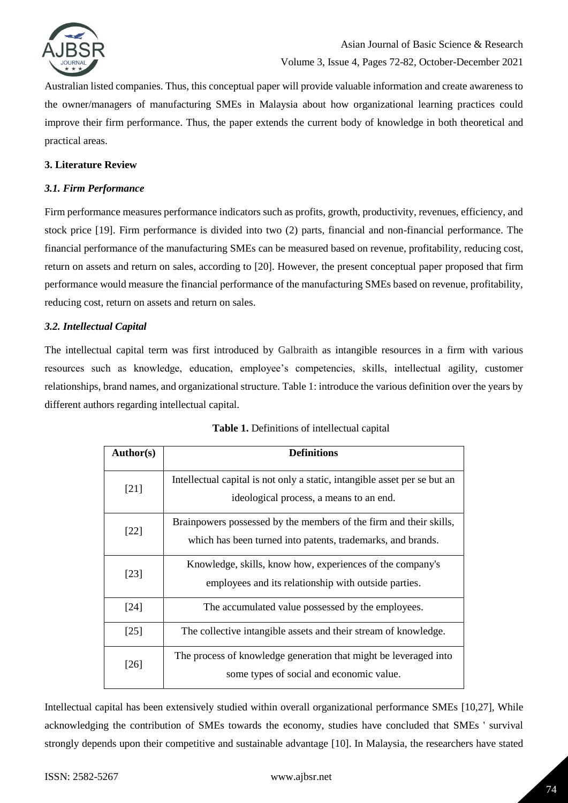

Australian listed companies. Thus, this conceptual paper will provide valuable information and create awareness to the owner/managers of manufacturing SMEs in Malaysia about how organizational learning practices could improve their firm performance. Thus, the paper extends the current body of knowledge in both theoretical and practical areas.

### **3. Literature Review**

### *3.1. Firm Performance*

Firm performance measures performance indicators such as profits, growth, productivity, revenues, efficiency, and stock price [19]. Firm performance is divided into two (2) parts, financial and non-financial performance. The financial performance of the manufacturing SMEs can be measured based on revenue, profitability, reducing cost, return on assets and return on sales, according to [20]. However, the present conceptual paper proposed that firm performance would measure the financial performance of the manufacturing SMEs based on revenue, profitability, reducing cost, return on assets and return on sales.

#### *3.2. Intellectual Capital*

The intellectual capital term was first introduced by Galbraith as intangible resources in a firm with various resources such as knowledge, education, employee's competencies, skills, intellectual agility, customer relationships, brand names, and organizational structure. Table 1: introduce the various definition over the years by different authors regarding intellectual capital.

| <b>Author(s)</b> | <b>Definitions</b>                                                                                                                |  |  |  |
|------------------|-----------------------------------------------------------------------------------------------------------------------------------|--|--|--|
| [21]             | Intellectual capital is not only a static, intangible asset per se but an<br>ideological process, a means to an end.              |  |  |  |
| $[22]$           | Brainpowers possessed by the members of the firm and their skills,<br>which has been turned into patents, trademarks, and brands. |  |  |  |
| [23]             | Knowledge, skills, know how, experiences of the company's<br>employees and its relationship with outside parties.                 |  |  |  |
| [24]             | The accumulated value possessed by the employees.                                                                                 |  |  |  |
| $[25]$           | The collective intangible assets and their stream of knowledge.                                                                   |  |  |  |
| $[26]$           | The process of knowledge generation that might be leveraged into<br>some types of social and economic value.                      |  |  |  |

|  | Table 1. Definitions of intellectual capital |  |  |  |
|--|----------------------------------------------|--|--|--|
|--|----------------------------------------------|--|--|--|

Intellectual capital has been extensively studied within overall organizational performance SMEs [10,27], While acknowledging the contribution of SMEs towards the economy, studies have concluded that SMEs ' survival strongly depends upon their competitive and sustainable advantage [10]. In Malaysia, the researchers have stated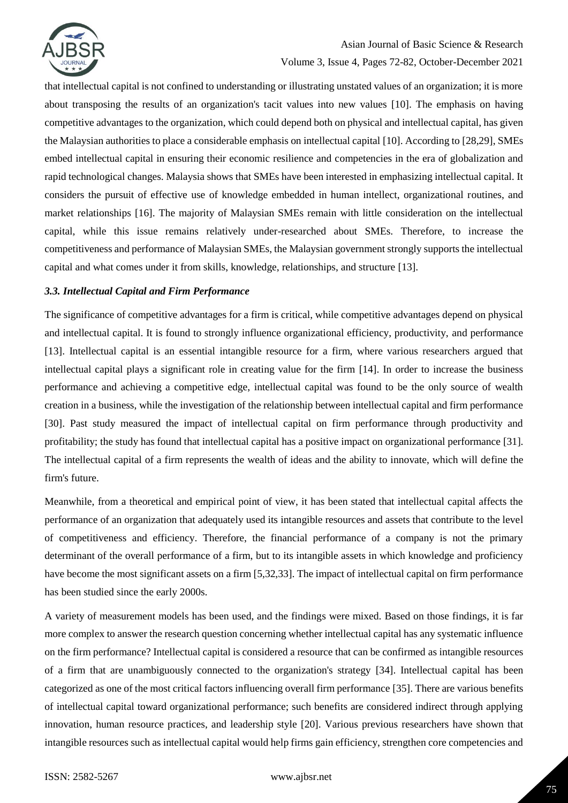

## Asian Journal of Basic Science & Research

### Volume 3, Issue 4, Pages 72-82, October-December 2021

that intellectual capital is not confined to understanding or illustrating unstated values of an organization; it is more about transposing the results of an organization's tacit values into new values [10]. The emphasis on having competitive advantages to the organization, which could depend both on physical and intellectual capital, has given the Malaysian authorities to place a considerable emphasis on intellectual capital [10]. According to [28,29], SMEs embed intellectual capital in ensuring their economic resilience and competencies in the era of globalization and rapid technological changes. Malaysia shows that SMEs have been interested in emphasizing intellectual capital. It considers the pursuit of effective use of knowledge embedded in human intellect, organizational routines, and market relationships [16]. The majority of Malaysian SMEs remain with little consideration on the intellectual capital, while this issue remains relatively under-researched about SMEs. Therefore, to increase the competitiveness and performance of Malaysian SMEs, the Malaysian government strongly supports the intellectual capital and what comes under it from skills, knowledge, relationships, and structure [13].

### *3.3. Intellectual Capital and Firm Performance*

The significance of competitive advantages for a firm is critical, while competitive advantages depend on physical and intellectual capital. It is found to strongly influence organizational efficiency, productivity, and performance [13]. Intellectual capital is an essential intangible resource for a firm, where various researchers argued that intellectual capital plays a significant role in creating value for the firm [14]. In order to increase the business performance and achieving a competitive edge, intellectual capital was found to be the only source of wealth creation in a business, while the investigation of the relationship between intellectual capital and firm performance [30]. Past study measured the impact of intellectual capital on firm performance through productivity and profitability; the study has found that intellectual capital has a positive impact on organizational performance [31]. The intellectual capital of a firm represents the wealth of ideas and the ability to innovate, which will define the firm's future.

Meanwhile, from a theoretical and empirical point of view, it has been stated that intellectual capital affects the performance of an organization that adequately used its intangible resources and assets that contribute to the level of competitiveness and efficiency. Therefore, the financial performance of a company is not the primary determinant of the overall performance of a firm, but to its intangible assets in which knowledge and proficiency have become the most significant assets on a firm [5,32,33]. The impact of intellectual capital on firm performance has been studied since the early 2000s.

A variety of measurement models has been used, and the findings were mixed. Based on those findings, it is far more complex to answer the research question concerning whether intellectual capital has any systematic influence on the firm performance? Intellectual capital is considered a resource that can be confirmed as intangible resources of a firm that are unambiguously connected to the organization's strategy [34]. Intellectual capital has been categorized as one of the most critical factors influencing overall firm performance [35]. There are various benefits of intellectual capital toward organizational performance; such benefits are considered indirect through applying innovation, human resource practices, and leadership style [20]. Various previous researchers have shown that intangible resources such as intellectual capital would help firms gain efficiency, strengthen core competencies and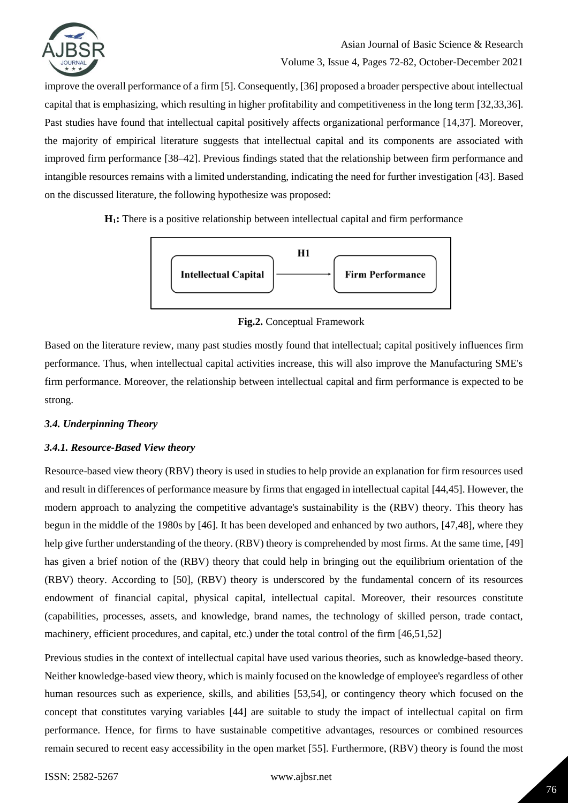

improve the overall performance of a firm [5]. Consequently, [36] proposed a broader perspective about intellectual capital that is emphasizing, which resulting in higher profitability and competitiveness in the long term [32,33,36]. Past studies have found that intellectual capital positively affects organizational performance [14,37]. Moreover, the majority of empirical literature suggests that intellectual capital and its components are associated with improved firm performance [38–42]. Previous findings stated that the relationship between firm performance and intangible resources remains with a limited understanding, indicating the need for further investigation [43]. Based on the discussed literature, the following hypothesize was proposed:

**H1:** There is a positive relationship between intellectual capital and firm performance



**Fig.2.** Conceptual Framework

Based on the literature review, many past studies mostly found that intellectual; capital positively influences firm performance. Thus, when intellectual capital activities increase, this will also improve the Manufacturing SME's firm performance. Moreover, the relationship between intellectual capital and firm performance is expected to be strong.

### *3.4. Underpinning Theory*

### *3.4.1. Resource-Based View theory*

Resource-based view theory (RBV) theory is used in studies to help provide an explanation for firm resources used and result in differences of performance measure by firms that engaged in intellectual capital [44,45]. However, the modern approach to analyzing the competitive advantage's sustainability is the (RBV) theory. This theory has begun in the middle of the 1980s by [46]. It has been developed and enhanced by two authors, [47,48], where they help give further understanding of the theory. (RBV) theory is comprehended by most firms. At the same time, [49] has given a brief notion of the (RBV) theory that could help in bringing out the equilibrium orientation of the (RBV) theory. According to [50], (RBV) theory is underscored by the fundamental concern of its resources endowment of financial capital, physical capital, intellectual capital. Moreover, their resources constitute (capabilities, processes, assets, and knowledge, brand names, the technology of skilled person, trade contact, machinery, efficient procedures, and capital, etc.) under the total control of the firm [46,51,52]

Previous studies in the context of intellectual capital have used various theories, such as knowledge-based theory. Neither knowledge-based view theory, which is mainly focused on the knowledge of employee's regardless of other human resources such as experience, skills, and abilities [53,54], or contingency theory which focused on the concept that constitutes varying variables [44] are suitable to study the impact of intellectual capital on firm performance. Hence, for firms to have sustainable competitive advantages, resources or combined resources remain secured to recent easy accessibility in the open market [55]. Furthermore, (RBV) theory is found the most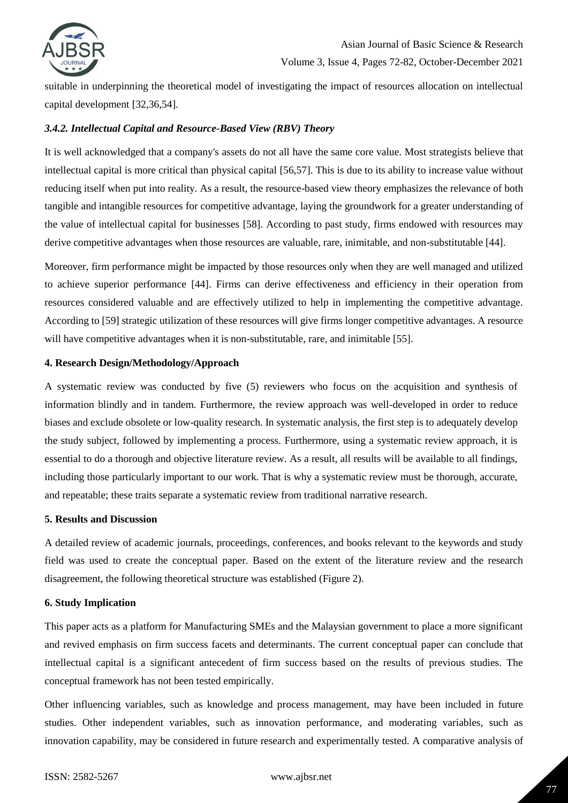

suitable in underpinning the theoretical model of investigating the impact of resources allocation on intellectual capital development [32,36,54].

### *3.4.2. Intellectual Capital and Resource-Based View (RBV) Theory*

It is well acknowledged that a company's assets do not all have the same core value. Most strategists believe that intellectual capital is more critical than physical capital [56,57]. This is due to its ability to increase value without reducing itself when put into reality. As a result, the resource-based view theory emphasizes the relevance of both tangible and intangible resources for competitive advantage, laying the groundwork for a greater understanding of the value of intellectual capital for businesses [58]. According to past study, firms endowed with resources may derive competitive advantages when those resources are valuable, rare, inimitable, and non-substitutable [44].

Moreover, firm performance might be impacted by those resources only when they are well managed and utilized to achieve superior performance [44]. Firms can derive effectiveness and efficiency in their operation from resources considered valuable and are effectively utilized to help in implementing the competitive advantage. According to [59] strategic utilization of these resources will give firms longer competitive advantages. A resource will have competitive advantages when it is non-substitutable, rare, and inimitable [55].

#### **4. Research Design/Methodology/Approach**

A systematic review was conducted by five (5) reviewers who focus on the acquisition and synthesis of information blindly and in tandem. Furthermore, the review approach was well-developed in order to reduce biases and exclude obsolete or low-quality research. In systematic analysis, the first step is to adequately develop the study subject, followed by implementing a process. Furthermore, using a systematic review approach, it is essential to do a thorough and objective literature review. As a result, all results will be available to all findings, including those particularly important to our work. That is why a systematic review must be thorough, accurate, and repeatable; these traits separate a systematic review from traditional narrative research.

### **5. Results and Discussion**

A detailed review of academic journals, proceedings, conferences, and books relevant to the keywords and study field was used to create the conceptual paper. Based on the extent of the literature review and the research disagreement, the following theoretical structure was established (Figure 2).

### **6. Study Implication**

This paper acts as a platform for Manufacturing SMEs and the Malaysian government to place a more significant and revived emphasis on firm success facets and determinants. The current conceptual paper can conclude that intellectual capital is a significant antecedent of firm success based on the results of previous studies. The conceptual framework has not been tested empirically.

Other influencing variables, such as knowledge and process management, may have been included in future studies. Other independent variables, such as innovation performance, and moderating variables, such as innovation capability, may be considered in future research and experimentally tested. A comparative analysis of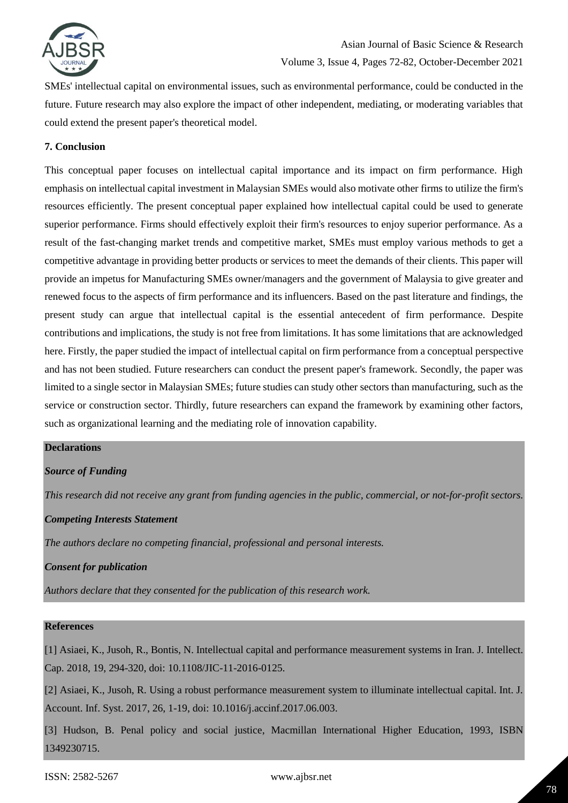

SMEs' intellectual capital on environmental issues, such as environmental performance, could be conducted in the future. Future research may also explore the impact of other independent, mediating, or moderating variables that could extend the present paper's theoretical model.

### **7. Conclusion**

This conceptual paper focuses on intellectual capital importance and its impact on firm performance. High emphasis on intellectual capital investment in Malaysian SMEs would also motivate other firms to utilize the firm's resources efficiently. The present conceptual paper explained how intellectual capital could be used to generate superior performance. Firms should effectively exploit their firm's resources to enjoy superior performance. As a result of the fast-changing market trends and competitive market, SMEs must employ various methods to get a competitive advantage in providing better products or services to meet the demands of their clients. This paper will provide an impetus for Manufacturing SMEs owner/managers and the government of Malaysia to give greater and renewed focus to the aspects of firm performance and its influencers. Based on the past literature and findings, the present study can argue that intellectual capital is the essential antecedent of firm performance. Despite contributions and implications, the study is not free from limitations. It has some limitations that are acknowledged here. Firstly, the paper studied the impact of intellectual capital on firm performance from a conceptual perspective and has not been studied. Future researchers can conduct the present paper's framework. Secondly, the paper was limited to a single sector in Malaysian SMEs; future studies can study other sectors than manufacturing, such as the service or construction sector. Thirdly, future researchers can expand the framework by examining other factors, such as organizational learning and the mediating role of innovation capability.

#### **Declarations**

### *Source of Funding*

*This research did not receive any grant from funding agencies in the public, commercial, or not-for-profit sectors.*

### *Competing Interests Statement*

*The authors declare no competing financial, professional and personal interests.*

### *Consent for publication*

*Authors declare that they consented for the publication of this research work.* 

### **References**

[1] Asiaei, K., Jusoh, R., Bontis, N. Intellectual capital and performance measurement systems in Iran. J. Intellect. Cap. 2018, 19, 294-320, doi: 10.1108/JIC-11-2016-0125.

[2] Asiaei, K., Jusoh, R. Using a robust performance measurement system to illuminate intellectual capital. Int. J. Account. Inf. Syst. 2017, 26, 1-19, doi: 10.1016/j.accinf.2017.06.003.

[3] Hudson, B. Penal policy and social justice, Macmillan International Higher Education, 1993, ISBN 1349230715.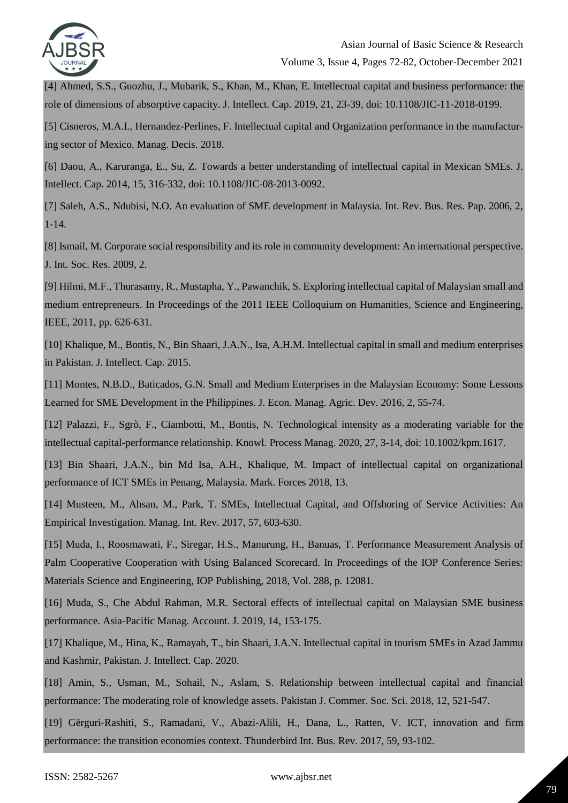

[4] Ahmed, S.S., Guozhu, J., Mubarik, S., Khan, M., Khan, E. Intellectual capital and business performance: the role of dimensions of absorptive capacity. J. Intellect. Cap. 2019, 21, 23-39, doi: 10.1108/JIC-11-2018-0199.

[5] Cisneros, M.A.I., Hernandez-Perlines, F. Intellectual capital and Organization performance in the manufacturing sector of Mexico. Manag. Decis. 2018.

[6] Daou, A., Karuranga, E., Su, Z. Towards a better understanding of intellectual capital in Mexican SMEs. J. Intellect. Cap. 2014, 15, 316-332, doi: 10.1108/JIC-08-2013-0092.

[7] Saleh, A.S., Ndubisi, N.O. An evaluation of SME development in Malaysia. Int. Rev. Bus. Res. Pap. 2006, 2, 1-14.

[8] Ismail, M. Corporate social responsibility and its role in community development: An international perspective. J. Int. Soc. Res. 2009, 2.

[9] Hilmi, M.F., Thurasamy, R., Mustapha, Y., Pawanchik, S. Exploring intellectual capital of Malaysian small and medium entrepreneurs. In Proceedings of the 2011 IEEE Colloquium on Humanities, Science and Engineering, IEEE, 2011, pp. 626-631.

[10] Khalique, M., Bontis, N., Bin Shaari, J.A.N., Isa, A.H.M. Intellectual capital in small and medium enterprises in Pakistan. J. Intellect. Cap. 2015.

[11] Montes, N.B.D., Baticados, G.N. Small and Medium Enterprises in the Malaysian Economy: Some Lessons Learned for SME Development in the Philippines. J. Econ. Manag. Agric. Dev. 2016, 2, 55-74.

[12] Palazzi, F., Sgrò, F., Ciambotti, M., Bontis, N. Technological intensity as a moderating variable for the intellectual capital-performance relationship. Knowl. Process Manag. 2020, 27, 3-14, doi: 10.1002/kpm.1617.

[13] Bin Shaari, J.A.N., bin Md Isa, A.H., Khalique, M. Impact of intellectual capital on organizational performance of ICT SMEs in Penang, Malaysia. Mark. Forces 2018, 13.

[14] Musteen, M., Ahsan, M., Park, T. SMEs, Intellectual Capital, and Offshoring of Service Activities: An Empirical Investigation. Manag. Int. Rev. 2017, 57, 603-630.

[15] Muda, I., Roosmawati, F., Siregar, H.S., Manurung, H., Banuas, T. Performance Measurement Analysis of Palm Cooperative Cooperation with Using Balanced Scorecard. In Proceedings of the IOP Conference Series: Materials Science and Engineering, IOP Publishing, 2018, Vol. 288, p. 12081.

[16] Muda, S., Che Abdul Rahman, M.R. Sectoral effects of intellectual capital on Malaysian SME business performance. Asia-Pacific Manag. Account. J. 2019, 14, 153-175.

[17] Khalique, M., Hina, K., Ramayah, T., bin Shaari, J.A.N. Intellectual capital in tourism SMEs in Azad Jammu and Kashmir, Pakistan. J. Intellect. Cap. 2020.

[18] Amin, S., Usman, M., Sohail, N., Aslam, S. Relationship between intellectual capital and financial performance: The moderating role of knowledge assets. Pakistan J. Commer. Soc. Sci. 2018, 12, 521-547.

[19] Gërguri‐Rashiti, S., Ramadani, V., Abazi‐Alili, H., Dana, L., Ratten, V. ICT, innovation and firm performance: the transition economies context. Thunderbird Int. Bus. Rev. 2017, 59, 93-102.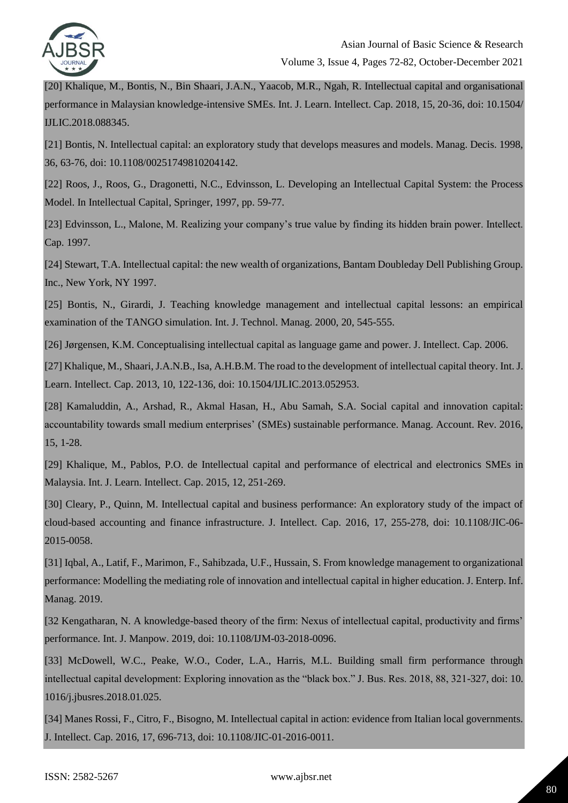

[20] Khalique, M., Bontis, N., Bin Shaari, J.A.N., Yaacob, M.R., Ngah, R. Intellectual capital and organisational performance in Malaysian knowledge-intensive SMEs. Int. J. Learn. Intellect. Cap. 2018, 15, 20-36, doi: 10.1504/ IJLIC.2018.088345.

[21] Bontis, N. Intellectual capital: an exploratory study that develops measures and models. Manag. Decis. 1998, 36, 63-76, doi: 10.1108/00251749810204142.

[22] Roos, J., Roos, G., Dragonetti, N.C., Edvinsson, L. Developing an Intellectual Capital System: the Process Model. In Intellectual Capital, Springer, 1997, pp. 59-77.

[23] Edvinsson, L., Malone, M. Realizing your company's true value by finding its hidden brain power. Intellect. Cap. 1997.

[24] Stewart, T.A. Intellectual capital: the new wealth of organizations, Bantam Doubleday Dell Publishing Group. Inc., New York, NY 1997.

[25] Bontis, N., Girardi, J. Teaching knowledge management and intellectual capital lessons: an empirical examination of the TANGO simulation. Int. J. Technol. Manag. 2000, 20, 545-555.

[26] Jørgensen, K.M. Conceptualising intellectual capital as language game and power. J. Intellect. Cap. 2006.

[27] Khalique, M., Shaari, J.A.N.B., Isa, A.H.B.M. The road to the development of intellectual capital theory. Int. J. Learn. Intellect. Cap. 2013, 10, 122-136, doi: 10.1504/IJLIC.2013.052953.

[28] Kamaluddin, A., Arshad, R., Akmal Hasan, H., Abu Samah, S.A. Social capital and innovation capital: accountability towards small medium enterprises' (SMEs) sustainable performance. Manag. Account. Rev. 2016, 15, 1-28.

[29] Khalique, M., Pablos, P.O. de Intellectual capital and performance of electrical and electronics SMEs in Malaysia. Int. J. Learn. Intellect. Cap. 2015, 12, 251-269.

[30] Cleary, P., Quinn, M. Intellectual capital and business performance: An exploratory study of the impact of cloud-based accounting and finance infrastructure. J. Intellect. Cap. 2016, 17, 255-278, doi: 10.1108/JIC-06- 2015-0058.

[31] Iqbal, A., Latif, F., Marimon, F., Sahibzada, U.F., Hussain, S. From knowledge management to organizational performance: Modelling the mediating role of innovation and intellectual capital in higher education. J. Enterp. Inf. Manag. 2019.

[32 Kengatharan, N. A knowledge-based theory of the firm: Nexus of intellectual capital, productivity and firms' performance. Int. J. Manpow. 2019, doi: 10.1108/IJM-03-2018-0096.

[33] McDowell, W.C., Peake, W.O., Coder, L.A., Harris, M.L. Building small firm performance through intellectual capital development: Exploring innovation as the "black box." J. Bus. Res. 2018, 88, 321-327, doi: 10. 1016/j.jbusres.2018.01.025.

[34] Manes Rossi, F., Citro, F., Bisogno, M. Intellectual capital in action: evidence from Italian local governments. J. Intellect. Cap. 2016, 17, 696-713, doi: 10.1108/JIC-01-2016-0011.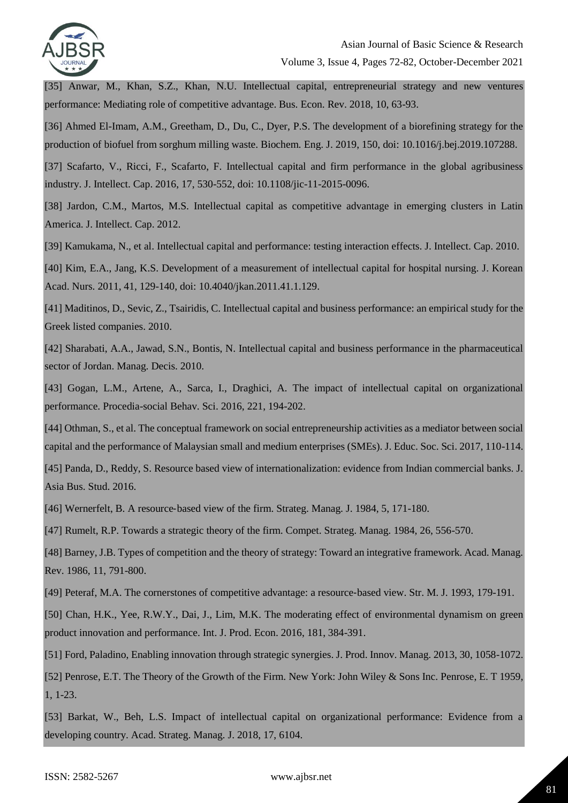

[35] Anwar, M., Khan, S.Z., Khan, N.U. Intellectual capital, entrepreneurial strategy and new ventures performance: Mediating role of competitive advantage. Bus. Econ. Rev. 2018, 10, 63-93.

[36] Ahmed El-Imam, A.M., Greetham, D., Du, C., Dyer, P.S. The development of a biorefining strategy for the production of biofuel from sorghum milling waste. Biochem. Eng. J. 2019, 150, doi: 10.1016/j.bej.2019.107288.

[37] Scafarto, V., Ricci, F., Scafarto, F. Intellectual capital and firm performance in the global agribusiness industry. J. Intellect. Cap. 2016, 17, 530-552, doi: 10.1108/jic-11-2015-0096.

[38] Jardon, C.M., Martos, M.S. Intellectual capital as competitive advantage in emerging clusters in Latin America. J. Intellect. Cap. 2012.

[39] Kamukama, N., et al. Intellectual capital and performance: testing interaction effects. J. Intellect. Cap. 2010.

[40] Kim, E.A., Jang, K.S. Development of a measurement of intellectual capital for hospital nursing. J. Korean Acad. Nurs. 2011, 41, 129-140, doi: 10.4040/jkan.2011.41.1.129.

[41] Maditinos, D., Sevic, Z., Tsairidis, C. Intellectual capital and business performance: an empirical study for the Greek listed companies. 2010.

[42] Sharabati, A.A., Jawad, S.N., Bontis, N. Intellectual capital and business performance in the pharmaceutical sector of Jordan. Manag. Decis. 2010.

[43] Gogan, L.M., Artene, A., Sarca, I., Draghici, A. The impact of intellectual capital on organizational performance. Procedia-social Behav. Sci. 2016, 221, 194-202.

[44] Othman, S., et al. The conceptual framework on social entrepreneurship activities as a mediator between social capital and the performance of Malaysian small and medium enterprises (SMEs). J. Educ. Soc. Sci. 2017, 110-114.

[45] Panda, D., Reddy, S. Resource based view of internationalization: evidence from Indian commercial banks. J. Asia Bus. Stud. 2016.

[46] Wernerfelt, B. A resource-based view of the firm. Strateg. Manag. J. 1984, 5, 171-180.

[47] Rumelt, R.P. Towards a strategic theory of the firm. Compet. Strateg. Manag. 1984, 26, 556-570.

[48] Barney, J.B. Types of competition and the theory of strategy: Toward an integrative framework. Acad. Manag. Rev. 1986, 11, 791-800.

[49] Peteraf, M.A. The cornerstones of competitive advantage: a resource-based view. Str. M. J. 1993, 179-191.

[50] Chan, H.K., Yee, R.W.Y., Dai, J., Lim, M.K. The moderating effect of environmental dynamism on green product innovation and performance. Int. J. Prod. Econ. 2016, 181, 384-391.

[51] Ford, Paladino, Enabling innovation through strategic synergies. J. Prod. Innov. Manag. 2013, 30, 1058-1072. [52] Penrose, E.T. The Theory of the Growth of the Firm. New York: John Wiley & Sons Inc. Penrose, E. T 1959, 1, 1-23.

[53] Barkat, W., Beh, L.S. Impact of intellectual capital on organizational performance: Evidence from a developing country. Acad. Strateg. Manag. J. 2018, 17, 6104.